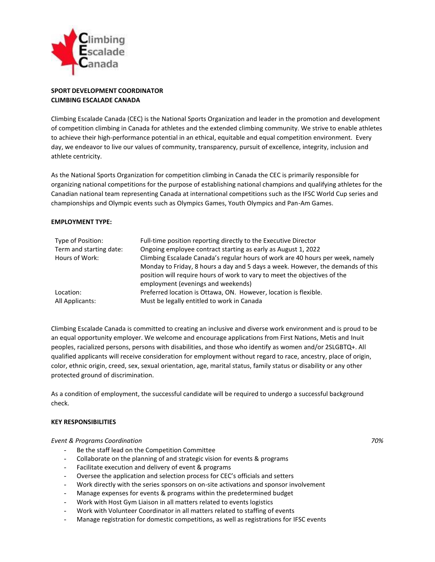

# **SPORT DEVELOPMENT COORDINATOR CLIMBING ESCALADE CANADA**

Climbing Escalade Canada (CEC) is the National Sports Organization and leader in the promotion and development of competition climbing in Canada for athletes and the extended climbing community. We strive to enable athletes to achieve their high-performance potential in an ethical, equitable and equal competition environment. Every day, we endeavor to live our values of community, transparency, pursuit of excellence, integrity, inclusion and athlete centricity.

As the National Sports Organization for competition climbing in Canada the CEC is primarily responsible for organizing national competitions for the purpose of establishing national champions and qualifying athletes for the Canadian national team representing Canada at international competitions such as the IFSC World Cup series and championships and Olympic events such as Olympics Games, Youth Olympics and Pan-Am Games.

# **EMPLOYMENT TYPE:**

| Type of Position:       | Full-time position reporting directly to the Executive Director                 |
|-------------------------|---------------------------------------------------------------------------------|
| Term and starting date: | Ongoing employee contract starting as early as August 1, 2022                   |
| Hours of Work:          | Climbing Escalade Canada's regular hours of work are 40 hours per week, namely  |
|                         | Monday to Friday, 8 hours a day and 5 days a week. However, the demands of this |
|                         | position will require hours of work to vary to meet the objectives of the       |
|                         | employment (evenings and weekends)                                              |
| Location:               | Preferred location is Ottawa, ON. However, location is flexible.                |
| All Applicants:         | Must be legally entitled to work in Canada                                      |

Climbing Escalade Canada is committed to creating an inclusive and diverse work environment and is proud to be an equal opportunity employer. We welcome and encourage applications from First Nations, Metis and Inuit peoples, racialized persons, persons with disabilities, and those who identify as women and/or 2SLGBTQ+. All qualified applicants will receive consideration for employment without regard to race, ancestry, place of origin, color, ethnic origin, creed, sex, sexual orientation, age, marital status, family status or disability or any other protected ground of discrimination.

As a condition of employment, the successful candidate will be required to undergo a successful background check.

## **KEY RESPONSIBILITIES**

## *Event & Programs Coordination 70%*

- Be the staff lead on the Competition Committee
- Collaborate on the planning of and strategic vision for events & programs
- Facilitate execution and delivery of event & programs
- Oversee the application and selection process for CEC's officials and setters
- Work directly with the series sponsors on on-site activations and sponsor involvement
- Manage expenses for events & programs within the predetermined budget
- Work with Host Gym Liaison in all matters related to events logistics
- Work with Volunteer Coordinator in all matters related to staffing of events
- Manage registration for domestic competitions, as well as registrations for IFSC events